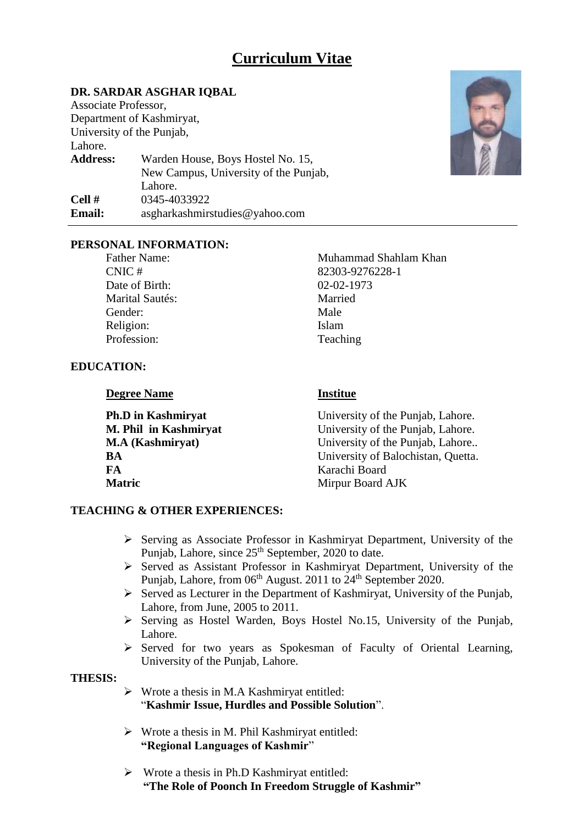## **Curriculum Vitae**

### **DR. SARDAR ASGHAR IQBAL**

Associate Professor, Department of Kashmiryat, University of the Punjab, Lahore. **Address:** Warden House, Boys Hostel No. 15, New Campus, University of the Punjab, Lahore. **Cell #** 0345-4033922 **Email:** asgharkashmirstudies@yahoo.com



#### **PERSONAL INFORMATION:**

Date of Birth: 02-02-1973 Marital Sautés: Married Gender: Male Religion: Islam Profession: Teaching

Father Name: Muhammad Shahlam Khan CNIC # 82303-9276228-1

### **EDUCATION:**

**Degree Name Institue** 

**FA** Karachi Board **Matric** Mirpur Board AJK

**Ph.D** in Kashmiryat **Example 2018** University of the Punjab, Lahore. **M. Phil in Kashmiryat** University of the Punjab, Lahore. **M.A (Kashmiryat)** University of the Punjab, Lahore.. **BA** University of Balochistan, Quetta.

#### **TEACHING & OTHER EXPERIENCES:**

- $\triangleright$  Serving as Associate Professor in Kashmiryat Department, University of the Punjab, Lahore, since 25<sup>th</sup> September, 2020 to date.
- $\triangleright$  Served as Assistant Professor in Kashmiryat Department, University of the Punjab, Lahore, from 06<sup>th</sup> August. 2011 to 24<sup>th</sup> September 2020.
- $\triangleright$  Served as Lecturer in the Department of Kashmiryat, University of the Punjab, Lahore, from June, 2005 to 2011.
- $\triangleright$  Serving as Hostel Warden, Boys Hostel No.15, University of the Punjab, Lahore.
- $\triangleright$  Served for two years as Spokesman of Faculty of Oriental Learning, University of the Punjab, Lahore.

#### **THESIS:**

- $\triangleright$  Wrote a thesis in M.A Kashmiryat entitled: "**Kashmir Issue, Hurdles and Possible Solution**".
- $\triangleright$  Wrote a thesis in M. Phil Kashmiryat entitled: **"Regional Languages of Kashmir**"
- $\triangleright$  Wrote a thesis in Ph.D Kashmiryat entitled: **"The Role of Poonch In Freedom Struggle of Kashmir"**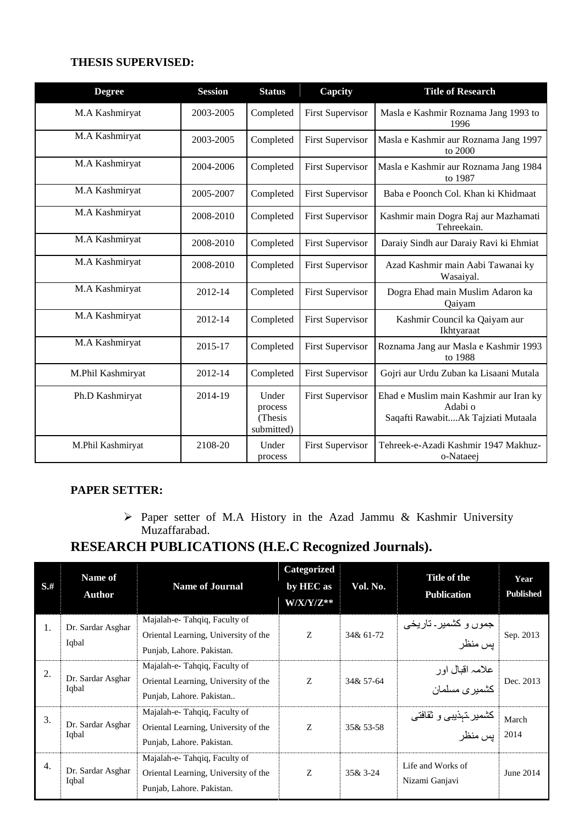#### **THESIS SUPERVISED:**

| <b>Degree</b>     | <b>Session</b> | <b>Status</b>                             | Capcity                 | <b>Title of Research</b>                                                                |
|-------------------|----------------|-------------------------------------------|-------------------------|-----------------------------------------------------------------------------------------|
| M.A Kashmiryat    | 2003-2005      | Completed                                 | <b>First Supervisor</b> | Masla e Kashmir Roznama Jang 1993 to<br>1996                                            |
| M.A Kashmiryat    | 2003-2005      | Completed                                 | <b>First Supervisor</b> | Masla e Kashmir aur Roznama Jang 1997<br>to 2000                                        |
| M.A Kashmiryat    | 2004-2006      | Completed                                 | <b>First Supervisor</b> | Masla e Kashmir aur Roznama Jang 1984<br>to 1987                                        |
| M.A Kashmiryat    | 2005-2007      | Completed                                 | <b>First Supervisor</b> | Baba e Poonch Col. Khan ki Khidmaat                                                     |
| M.A Kashmiryat    | 2008-2010      | Completed                                 | <b>First Supervisor</b> | Kashmir main Dogra Raj aur Mazhamati<br>Tehreekain.                                     |
| M.A Kashmiryat    | 2008-2010      | Completed                                 | <b>First Supervisor</b> | Daraiy Sindh aur Daraiy Ravi ki Ehmiat                                                  |
| M.A Kashmiryat    | 2008-2010      | Completed                                 | <b>First Supervisor</b> | Azad Kashmir main Aabi Tawanai ky<br>Wasaiyal.                                          |
| M.A Kashmiryat    | 2012-14        | Completed                                 | <b>First Supervisor</b> | Dogra Ehad main Muslim Adaron ka<br>Qaiyam                                              |
| M.A Kashmiryat    | 2012-14        | Completed                                 | <b>First Supervisor</b> | Kashmir Council ka Qaiyam aur<br>Ikhtyaraat                                             |
| M.A Kashmiryat    | 2015-17        | Completed                                 | <b>First Supervisor</b> | Roznama Jang aur Masla e Kashmir 1993<br>to 1988                                        |
| M.Phil Kashmiryat | 2012-14        | Completed                                 | <b>First Supervisor</b> | Gojri aur Urdu Zuban ka Lisaani Mutala                                                  |
| Ph.D Kashmiryat   | 2014-19        | Under<br>process<br>(Thesis<br>submitted) | <b>First Supervisor</b> | Ehad e Muslim main Kashmir aur Iran ky<br>Adabi o<br>Saqafti RawabitAk Tajziati Mutaala |
| M.Phil Kashmiryat | 2108-20        | Under<br>process                          | <b>First Supervisor</b> | Tehreek-e-Azadi Kashmir 1947 Makhuz-<br>o-Nataeej                                       |

### **PAPER SETTER:**

 Paper setter of M.A History in the Azad Jammu & Kashmir University Muzaffarabad.

# **RESEARCH PUBLICATIONS (H.E.C Recognized Journals).**

| $S$ .# | <b>Name of</b><br>Author   | <b>Name of Journal</b>                                                                            | Categorized<br>by HEC as<br>$W/X/Y/Z^{**}$ | Vol. No.    | Title of the<br><b>Publication</b>  | Year<br><b>Published</b> |
|--------|----------------------------|---------------------------------------------------------------------------------------------------|--------------------------------------------|-------------|-------------------------------------|--------------------------|
| 1.     | Dr. Sardar Asghar<br>Iqbal | Majalah-e-Tahqiq, Faculty of<br>Oriental Learning, University of the<br>Punjab, Lahore. Pakistan. | Z                                          | 34& 61-72   | جموں و کشمیر ـ تاریخی<br>بس منظر    | Sep. 2013                |
| 2.     | Dr. Sardar Asghar<br>Iqbal | Majalah-e-Tahqiq, Faculty of<br>Oriental Learning, University of the<br>Punjab, Lahore. Pakistan  | Z                                          | 34& 57-64   | علامہ اقبال اور<br>کشمیر ی مسلمان   | Dec. 2013                |
| 3.     | Dr. Sardar Asghar<br>Iqbal | Majalah-e-Tahqiq, Faculty of<br>Oriental Learning, University of the<br>Punjab, Lahore. Pakistan. | Z                                          | 35& 53-58   | كشمير تـهذيبـي و ثقافتـي<br>يس منظر | March<br>2014            |
| 4.     | Dr. Sardar Asghar<br>Iqbal | Majalah-e-Tahqiq, Faculty of<br>Oriental Learning, University of the<br>Punjab, Lahore. Pakistan. | Z                                          | $35 & 3-24$ | Life and Works of<br>Nizami Ganjavi | June 2014                |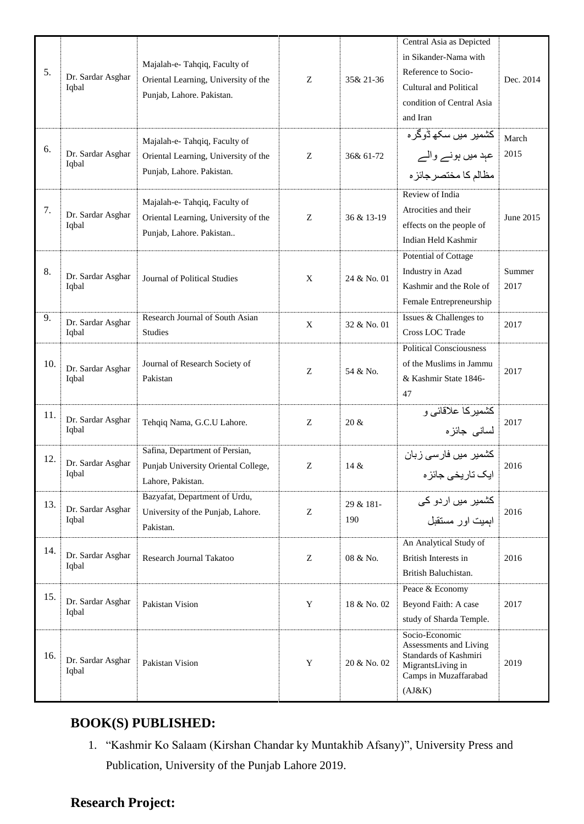| 5.  | Dr. Sardar Asghar<br>Iqbal | Majalah-e-Tahqiq, Faculty of<br>Oriental Learning, University of the<br>Punjab, Lahore. Pakistan. | Z           | 35& 21-36        | Central Asia as Depicted<br>in Sikander-Nama with<br>Reference to Socio-<br>Cultural and Political<br>condition of Central Asia<br>and Iran | Dec. 2014      |
|-----|----------------------------|---------------------------------------------------------------------------------------------------|-------------|------------------|---------------------------------------------------------------------------------------------------------------------------------------------|----------------|
| 6.  | Dr. Sardar Asghar<br>Iqbal | Majalah-e-Tahqiq, Faculty of<br>Oriental Learning, University of the<br>Punjab, Lahore. Pakistan. | Z           | 36& 61-72        | كشمير ميں سكھ ڈوگرہ<br>عہد میں ہونے والے<br>مظالم كا مختصر جائز ه                                                                           | March<br>2015  |
| 7.  | Dr. Sardar Asghar<br>Iqbal | Majalah-e-Tahqiq, Faculty of<br>Oriental Learning, University of the<br>Punjab, Lahore. Pakistan  | Z           | 36 & 13-19       | Review of India<br>Atrocities and their<br>effects on the people of<br>Indian Held Kashmir                                                  | June 2015      |
| 8.  | Dr. Sardar Asghar<br>Iqbal | Journal of Political Studies                                                                      | $\mathbf X$ | 24 & No. 01      | Potential of Cottage<br>Industry in Azad<br>Kashmir and the Role of<br>Female Entrepreneurship                                              | Summer<br>2017 |
| 9.  | Dr. Sardar Asghar<br>Iqbal | Research Journal of South Asian<br>Studies                                                        | X           | 32 & No. 01      | Issues & Challenges to<br>Cross LOC Trade                                                                                                   | 2017           |
| 10. | Dr. Sardar Asghar<br>Iqbal | Journal of Research Society of<br>Pakistan                                                        | Ζ           | 54 & No.         | <b>Political Consciousness</b><br>of the Muslims in Jammu<br>& Kashmir State 1846-<br>47                                                    | 2017           |
| 11. | Dr. Sardar Asghar<br>Iqbal | Tehqiq Nama, G.C.U Lahore.                                                                        | Z           | $20 \&$          | کشمیرکا علاقائی و<br>لسانی جائزہ                                                                                                            | 2017           |
| 12. | Dr. Sardar Asghar<br>Iqbal | Safina, Department of Persian,<br>Punjab University Oriental College,<br>Lahore, Pakistan.        | Z           | 14 &             | کشمیر میں فارسی زبان<br>ایک تاریخی جائزہ                                                                                                    | 2016           |
| 13. | Dr. Sardar Asghar<br>Iqbal | Bazyafat, Department of Urdu,<br>University of the Punjab, Lahore.<br>Pakistan.                   | Ζ           | 29 & 181-<br>190 | کشمیر میں اردو کی<br>ابميت اور مستقبل                                                                                                       | 2016           |
| 14. | Dr. Sardar Asghar<br>Iqbal | Research Journal Takatoo                                                                          | Z           | 08 & No.         | An Analytical Study of<br>British Interests in<br>British Baluchistan.                                                                      | 2016           |
| 15. | Dr. Sardar Asghar<br>Iqbal | Pakistan Vision                                                                                   | Y           | 18 & No. 02      | Peace & Economy<br>Beyond Faith: A case<br>study of Sharda Temple.                                                                          | 2017           |
| 16. | Dr. Sardar Asghar<br>Iqbal | Pakistan Vision                                                                                   | Y           | 20 & No. 02      | Socio-Economic<br>Assessments and Living<br>Standards of Kashmiri<br>MigrantsLiving in<br>Camps in Muzaffarabad<br>(AJ&K)                   | 2019           |

# **BOOK(S) PUBLISHED:**

1. "Kashmir Ko Salaam (Kirshan Chandar ky Muntakhib Afsany)", University Press and Publication, University of the Punjab Lahore 2019.

# **Research Project:**